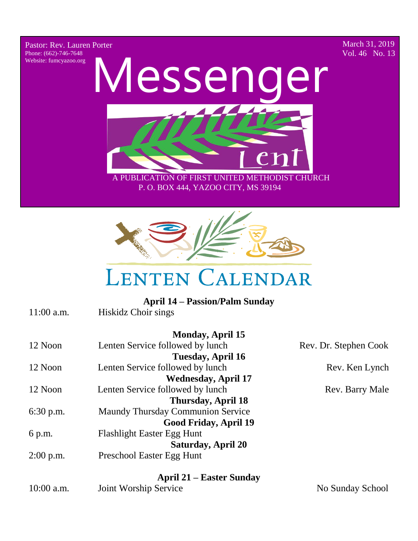Pastor: Rev. Lauren Porter Phone: (662)-746-7648 Website: fumcyazoo.org

March 31, 2019 Vol. 46 No. 13



 A PUBLICATION OF FIRST UNITED METHODIST CHURCH P. O. BOX 444, YAZOO CITY, MS 39194



## **LENTEN CALENDAR**

|              | <b>April 14 – Passion/Palm Sunday</b> |                       |
|--------------|---------------------------------------|-----------------------|
| $11:00$ a.m. | Hiskidz Choir sings                   |                       |
|              | <b>Monday, April 15</b>               |                       |
| 12 Noon      | Lenten Service followed by lunch      | Rev. Dr. Stephen Cook |
|              | Tuesday, April 16                     |                       |
| 12 Noon      | Lenten Service followed by lunch      | Rev. Ken Lynch        |
|              | <b>Wednesday, April 17</b>            |                       |
| 12 Noon      | Lenten Service followed by lunch      | Rev. Barry Male       |
|              | <b>Thursday, April 18</b>             |                       |
| $6:30$ p.m.  | Maundy Thursday Communion Service     |                       |
|              | Good Friday, April 19                 |                       |
| 6 p.m.       | <b>Flashlight Easter Egg Hunt</b>     |                       |
|              | <b>Saturday, April 20</b>             |                       |
| $2:00$ p.m.  | Preschool Easter Egg Hunt             |                       |
|              | <b>April 21 – Easter Sunday</b>       |                       |
| $10:00$ a.m. | Joint Worship Service                 | No Sunday School      |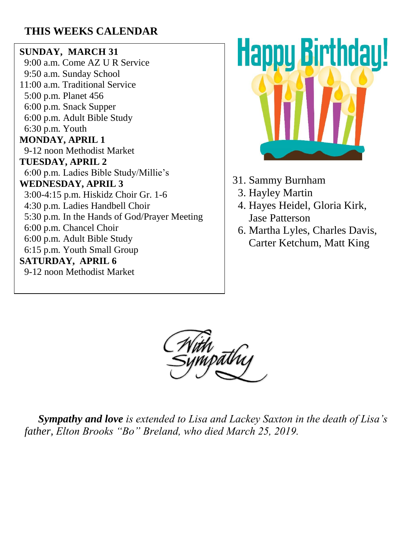#### **THIS WEEKS CALENDAR**

#### **SUNDAY, MARCH 31**

 9:00 a.m. Come AZ U R Service 9:50 a.m. Sunday School 11:00 a.m. Traditional Service 5:00 p.m. Planet 456 6:00 p.m. Snack Supper 6:00 p.m. Adult Bible Study 6:30 p.m. Youth **MONDAY, APRIL 1** 9-12 noon Methodist Market **TUESDAY, APRIL 2** 6:00 p.m. Ladies Bible Study/Millie's **WEDNESDAY, APRIL 3** 3:00-4:15 p.m. Hiskidz Choir Gr. 1-6 4:30 p.m. Ladies Handbell Choir 5:30 p.m. In the Hands of God/Prayer Meeting 6:00 p.m. Chancel Choir 6:00 p.m. Adult Bible Study 6:15 p.m. Youth Small Group **SATURDAY, APRIL 6** 9-12 noon Methodist Market



- 31. Sammy Burnham
	- 3. Hayley Martin
	- 4. Hayes Heidel, Gloria Kirk, Jase Patterson
	- 6. Martha Lyles, Charles Davis, Carter Ketchum, Matt King



 *Sympathy and love is extended to Lisa and Lackey Saxton in the death of Lisa's father, Elton Brooks "Bo" Breland, who died March 25, 2019.*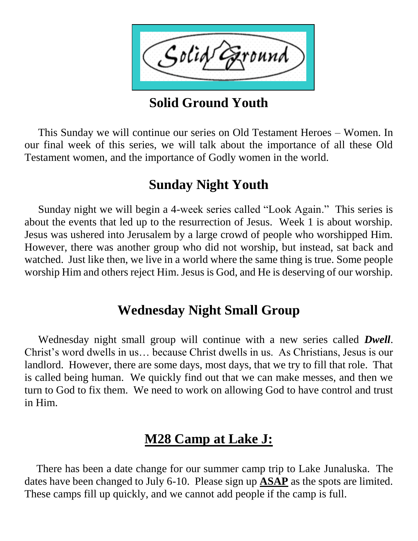Solid round

**Solid Ground Youth** 

 This Sunday we will continue our series on Old Testament Heroes – Women. In our final week of this series, we will talk about the importance of all these Old Testament women, and the importance of Godly women in the world.

#### **Sunday Night Youth**

 Sunday night we will begin a 4-week series called "Look Again." This series is about the events that led up to the resurrection of Jesus. Week 1 is about worship. Jesus was ushered into Jerusalem by a large crowd of people who worshipped Him. However, there was another group who did not worship, but instead, sat back and watched. Just like then, we live in a world where the same thing is true. Some people worship Him and others reject Him. Jesus is God, and He is deserving of our worship.

#### **Wednesday Night Small Group**

 Wednesday night small group will continue with a new series called *Dwell*. Christ's word dwells in us… because Christ dwells in us. As Christians, Jesus is our landlord. However, there are some days, most days, that we try to fill that role. That is called being human. We quickly find out that we can make messes, and then we turn to God to fix them. We need to work on allowing God to have control and trust in Him.

#### **M28 Camp at Lake J:**

 There has been a date change for our summer camp trip to Lake Junaluska. The dates have been changed to July 6-10. Please sign up **ASAP** as the spots are limited. These camps fill up quickly, and we cannot add people if the camp is full.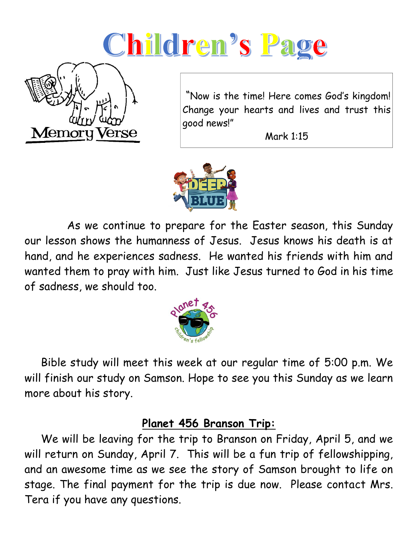# Children's Page



"Now is the time! Here comes God's kingdom! Change your hearts and lives and trust this good news!"

Mark 1:15



 As we continue to prepare for the Easter season, this Sunday our lesson shows the humanness of Jesus. Jesus knows his death is at hand, and he experiences sadness. He wanted his friends with him and wanted them to pray with him. Just like Jesus turned to God in his time of sadness, we should too.



 Bible study will meet this week at our regular time of 5:00 p.m. We will finish our study on Samson. Hope to see you this Sunday as we learn more about his story.

#### **Planet 456 Branson Trip:**

 We will be leaving for the trip to Branson on Friday, April 5, and we will return on Sunday, April 7. This will be a fun trip of fellowshipping, and an awesome time as we see the story of Samson brought to life on stage. The final payment for the trip is due now. Please contact Mrs. Tera if you have any questions.